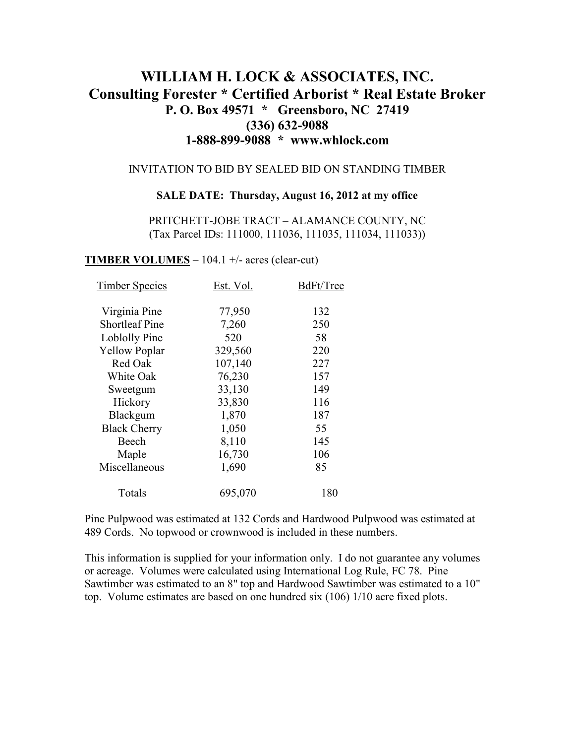# **WILLIAM H. LOCK & ASSOCIATES, INC. Consulting Forester \* Certified Arborist \* Real Estate Broker P. O. Box 49571 \* Greensboro, NC 27419 (336) 632-9088 1-888-899-9088 \* www.whlock.com**

### INVITATION TO BID BY SEALED BID ON STANDING TIMBER

#### **SALE DATE: Thursday, August 16, 2012 at my office**

PRITCHETT-JOBE TRACT – ALAMANCE COUNTY, NC (Tax Parcel IDs: 111000, 111036, 111035, 111034, 111033))

**TIMBER VOLUMES** – 104.1 +/- acres (clear-cut)

| <b>Timber Species</b> | Est. Vol. | BdFt/Tree |
|-----------------------|-----------|-----------|
|                       |           | 132       |
| Virginia Pine         | 77,950    |           |
| <b>Shortleaf Pine</b> | 7,260     | 250       |
| Loblolly Pine         | 520       | 58        |
| <b>Yellow Poplar</b>  | 329,560   | 220       |
| Red Oak               | 107,140   | 227       |
| White Oak             | 76,230    | 157       |
| Sweetgum              | 33,130    | 149       |
| Hickory               | 33,830    | 116       |
| Blackgum              | 1,870     | 187       |
| <b>Black Cherry</b>   | 1,050     | 55        |
| Beech                 | 8,110     | 145       |
| Maple                 | 16,730    | 106       |
| Miscellaneous         | 1,690     | 85        |
| Totals                | 695,070   | 180       |

Pine Pulpwood was estimated at 132 Cords and Hardwood Pulpwood was estimated at 489 Cords. No topwood or crownwood is included in these numbers.

This information is supplied for your information only. I do not guarantee any volumes or acreage. Volumes were calculated using International Log Rule, FC 78. Pine Sawtimber was estimated to an 8" top and Hardwood Sawtimber was estimated to a 10" top. Volume estimates are based on one hundred six (106) 1/10 acre fixed plots.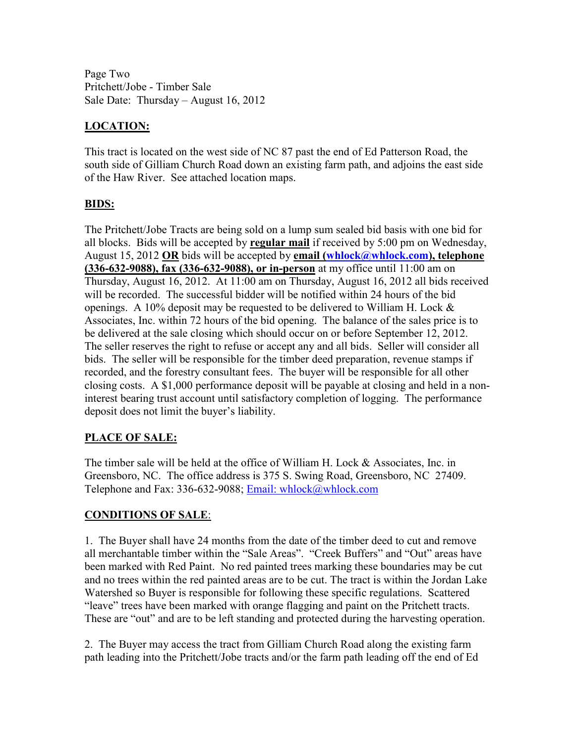Page Two Pritchett/Jobe - Timber Sale Sale Date: Thursday – August 16, 2012

# **LOCATION:**

This tract is located on the west side of NC 87 past the end of Ed Patterson Road, the south side of Gilliam Church Road down an existing farm path, and adjoins the east side of the Haw River. See attached location maps.

### **BIDS:**

The Pritchett/Jobe Tracts are being sold on a lump sum sealed bid basis with one bid for all blocks. Bids will be accepted by **regular mail** if received by 5:00 pm on Wednesday, August 15, 2012 **OR** bids will be accepted by **email (whlock@whlock.com), telephone (336-632-9088), fax (336-632-9088), or in-person** at my office until 11:00 am on Thursday, August 16, 2012. At 11:00 am on Thursday, August 16, 2012 all bids received will be recorded. The successful bidder will be notified within 24 hours of the bid openings. A 10% deposit may be requested to be delivered to William H. Lock & Associates, Inc. within 72 hours of the bid opening. The balance of the sales price is to be delivered at the sale closing which should occur on or before September 12, 2012. The seller reserves the right to refuse or accept any and all bids. Seller will consider all bids. The seller will be responsible for the timber deed preparation, revenue stamps if recorded, and the forestry consultant fees. The buyer will be responsible for all other closing costs. A \$1,000 performance deposit will be payable at closing and held in a noninterest bearing trust account until satisfactory completion of logging. The performance deposit does not limit the buyer's liability.

# **PLACE OF SALE:**

The timber sale will be held at the office of William H. Lock & Associates, Inc. in Greensboro, NC. The office address is 375 S. Swing Road, Greensboro, NC 27409. Telephone and Fax: 336-632-9088; Email: whlock@whlock.com

# **CONDITIONS OF SALE**:

1. The Buyer shall have 24 months from the date of the timber deed to cut and remove all merchantable timber within the "Sale Areas". "Creek Buffers" and "Out" areas have been marked with Red Paint. No red painted trees marking these boundaries may be cut and no trees within the red painted areas are to be cut. The tract is within the Jordan Lake Watershed so Buyer is responsible for following these specific regulations. Scattered "leave" trees have been marked with orange flagging and paint on the Pritchett tracts. These are "out" and are to be left standing and protected during the harvesting operation.

2. The Buyer may access the tract from Gilliam Church Road along the existing farm path leading into the Pritchett/Jobe tracts and/or the farm path leading off the end of Ed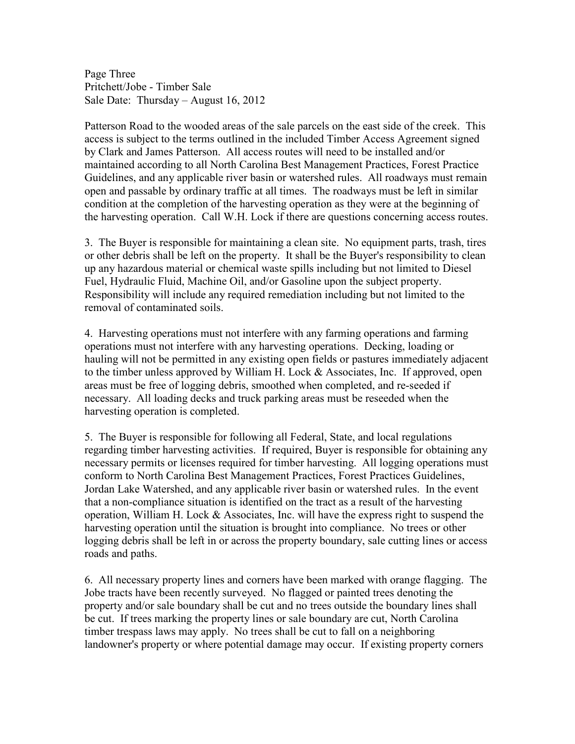Page Three Pritchett/Jobe - Timber Sale Sale Date: Thursday – August 16, 2012

Patterson Road to the wooded areas of the sale parcels on the east side of the creek. This access is subject to the terms outlined in the included Timber Access Agreement signed by Clark and James Patterson. All access routes will need to be installed and/or maintained according to all North Carolina Best Management Practices, Forest Practice Guidelines, and any applicable river basin or watershed rules. All roadways must remain open and passable by ordinary traffic at all times. The roadways must be left in similar condition at the completion of the harvesting operation as they were at the beginning of the harvesting operation. Call W.H. Lock if there are questions concerning access routes.

3. The Buyer is responsible for maintaining a clean site. No equipment parts, trash, tires or other debris shall be left on the property. It shall be the Buyer's responsibility to clean up any hazardous material or chemical waste spills including but not limited to Diesel Fuel, Hydraulic Fluid, Machine Oil, and/or Gasoline upon the subject property. Responsibility will include any required remediation including but not limited to the removal of contaminated soils.

4. Harvesting operations must not interfere with any farming operations and farming operations must not interfere with any harvesting operations. Decking, loading or hauling will not be permitted in any existing open fields or pastures immediately adjacent to the timber unless approved by William H. Lock & Associates, Inc. If approved, open areas must be free of logging debris, smoothed when completed, and re-seeded if necessary. All loading decks and truck parking areas must be reseeded when the harvesting operation is completed.

5. The Buyer is responsible for following all Federal, State, and local regulations regarding timber harvesting activities. If required, Buyer is responsible for obtaining any necessary permits or licenses required for timber harvesting. All logging operations must conform to North Carolina Best Management Practices, Forest Practices Guidelines, Jordan Lake Watershed, and any applicable river basin or watershed rules. In the event that a non-compliance situation is identified on the tract as a result of the harvesting operation, William H. Lock  $\&$  Associates, Inc. will have the express right to suspend the harvesting operation until the situation is brought into compliance. No trees or other logging debris shall be left in or across the property boundary, sale cutting lines or access roads and paths.

6. All necessary property lines and corners have been marked with orange flagging. The Jobe tracts have been recently surveyed. No flagged or painted trees denoting the property and/or sale boundary shall be cut and no trees outside the boundary lines shall be cut. If trees marking the property lines or sale boundary are cut, North Carolina timber trespass laws may apply. No trees shall be cut to fall on a neighboring landowner's property or where potential damage may occur. If existing property corners